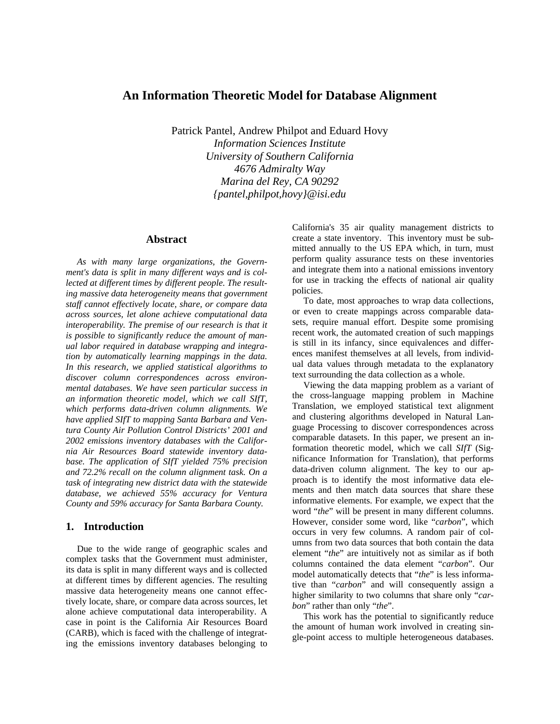# **An Information Theoretic Model for Database Alignment**

Patrick Pantel, Andrew Philpot and Eduard Hovy *Information Sciences Institute University of Southern California 4676 Admiralty Way Marina del Rey, CA 90292 {pantel,philpot,hovy}@isi.edu* 

### **Abstract**

*As with many large organizations, the Government's data is split in many different ways and is collected at different times by different people. The resulting massive data heterogeneity means that government staff cannot effectively locate, share, or compare data across sources, let alone achieve computational data interoperability. The premise of our research is that it is possible to significantly reduce the amount of manual labor required in database wrapping and integration by automatically learning mappings in the data. In this research, we applied statistical algorithms to discover column correspondences across environmental databases. We have seen particular success in an information theoretic model, which we call SIfT, which performs data-driven column alignments. We have applied SIfT to mapping Santa Barbara and Ventura County Air Pollution Control Districts' 2001 and 2002 emissions inventory databases with the California Air Resources Board statewide inventory database. The application of SIfT yielded 75% precision and 72.2% recall on the column alignment task. On a task of integrating new district data with the statewide database, we achieved 55% accuracy for Ventura County and 59% accuracy for Santa Barbara County.* 

### **1. Introduction**

Due to the wide range of geographic scales and complex tasks that the Government must administer, its data is split in many different ways and is collected at different times by different agencies. The resulting massive data heterogeneity means one cannot effectively locate, share, or compare data across sources, let alone achieve computational data interoperability. A case in point is the California Air Resources Board (CARB), which is faced with the challenge of integrating the emissions inventory databases belonging to

California's 35 air quality management districts to create a state inventory. This inventory must be submitted annually to the US EPA which, in turn, must perform quality assurance tests on these inventories and integrate them into a national emissions inventory for use in tracking the effects of national air quality policies.

To date, most approaches to wrap data collections, or even to create mappings across comparable datasets, require manual effort. Despite some promising recent work, the automated creation of such mappings is still in its infancy, since equivalences and differences manifest themselves at all levels, from individual data values through metadata to the explanatory text surrounding the data collection as a whole.

Viewing the data mapping problem as a variant of the cross-language mapping problem in Machine Translation, we employed statistical text alignment and clustering algorithms developed in Natural Language Processing to discover correspondences across comparable datasets. In this paper, we present an information theoretic model, which we call *SIfT* (Significance Information for Translation), that performs data-driven column alignment. The key to our approach is to identify the most informative data elements and then match data sources that share these informative elements. For example, we expect that the word "*the*" will be present in many different columns. However, consider some word, like "*carbon*", which occurs in very few columns. A random pair of columns from two data sources that both contain the data element "*the*" are intuitively not as similar as if both columns contained the data element "*carbon*". Our model automatically detects that "*the*" is less informative than "*carbon*" and will consequently assign a higher similarity to two columns that share only "*carbon*" rather than only "*the*".

This work has the potential to significantly reduce the amount of human work involved in creating single-point access to multiple heterogeneous databases.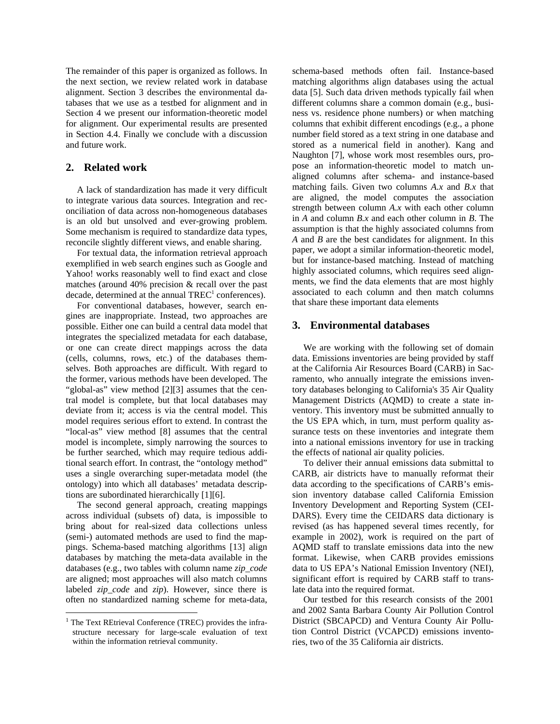The remainder of this paper is organized as follows. In the next section, we review related work in database alignment. Section 3 describes the environmental databases that we use as a testbed for alignment and in Section 4 we present our information-theoretic model for alignment. Our experimental results are presented in Section 4.4. Finally we conclude with a discussion and future work.

# **2. Related work**

A lack of standardization has made it very difficult to integrate various data sources. Integration and reconciliation of data across non-homogeneous databases is an old but unsolved and ever-growing problem. Some mechanism is required to standardize data types, reconcile slightly different views, and enable sharing.

For textual data, the information retrieval approach exemplified in web search engines such as Google and Yahoo! works reasonably well to find exact and close matches (around 40% precision & recall over the past decade, determined at the annual TREC<sup>1</sup> conferences).

For conventional databases, however, search engines are inappropriate. Instead, two approaches are possible. Either one can build a central data model that integrates the specialized metadata for each database, or one can create direct mappings across the data (cells, columns, rows, etc.) of the databases themselves. Both approaches are difficult. With regard to the former, various methods have been developed. The "global-as" view method [2][3] assumes that the central model is complete, but that local databases may deviate from it; access is via the central model. This model requires serious effort to extend. In contrast the "local-as" view method [8] assumes that the central model is incomplete, simply narrowing the sources to be further searched, which may require tedious additional search effort. In contrast, the "ontology method" uses a single overarching super-metadata model (the ontology) into which all databases' metadata descriptions are subordinated hierarchically [1][6].

The second general approach, creating mappings across individual (subsets of) data, is impossible to bring about for real-sized data collections unless (semi-) automated methods are used to find the mappings. Schema-based matching algorithms [13] align databases by matching the meta-data available in the databases (e.g., two tables with column name *zip\_code* are aligned; most approaches will also match columns labeled *zip* code and *zip*). However, since there is often no standardized naming scheme for meta-data,

 $\overline{a}$ 

schema-based methods often fail. Instance-based matching algorithms align databases using the actual data [5]. Such data driven methods typically fail when different columns share a common domain (e.g., business vs. residence phone numbers) or when matching columns that exhibit different encodings (e.g., a phone number field stored as a text string in one database and stored as a numerical field in another). Kang and Naughton [7], whose work most resembles ours, propose an information-theoretic model to match unaligned columns after schema- and instance-based matching fails. Given two columns *A.x* and *B.x* that are aligned, the model computes the association strength between column *A.x* with each other column in *A* and column *B.x* and each other column in *B*. The assumption is that the highly associated columns from *A* and *B* are the best candidates for alignment. In this paper, we adopt a similar information-theoretic model, but for instance-based matching. Instead of matching highly associated columns, which requires seed alignments, we find the data elements that are most highly associated to each column and then match columns that share these important data elements

### **3. Environmental databases**

We are working with the following set of domain data. Emissions inventories are being provided by staff at the California Air Resources Board (CARB) in Sacramento, who annually integrate the emissions inventory databases belonging to California's 35 Air Quality Management Districts (AQMD) to create a state inventory. This inventory must be submitted annually to the US EPA which, in turn, must perform quality assurance tests on these inventories and integrate them into a national emissions inventory for use in tracking the effects of national air quality policies.

To deliver their annual emissions data submittal to CARB, air districts have to manually reformat their data according to the specifications of CARB's emission inventory database called California Emission Inventory Development and Reporting System (CEI-DARS). Every time the CEIDARS data dictionary is revised (as has happened several times recently, for example in 2002), work is required on the part of AQMD staff to translate emissions data into the new format. Likewise, when CARB provides emissions data to US EPA's National Emission Inventory (NEI), significant effort is required by CARB staff to translate data into the required format.

Our testbed for this research consists of the 2001 and 2002 Santa Barbara County Air Pollution Control District (SBCAPCD) and Ventura County Air Pollution Control District (VCAPCD) emissions inventories, two of the 35 California air districts.

<sup>&</sup>lt;sup>1</sup> The Text REtrieval Conference (TREC) provides the infrastructure necessary for large-scale evaluation of text within the information retrieval community.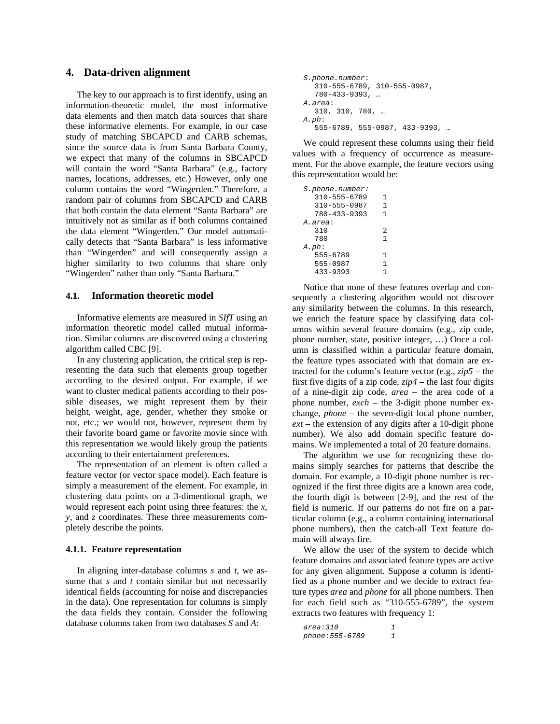### **4. Data-driven alignment**

The key to our approach is to first identify, using an information-theoretic model, the most informative data elements and then match data sources that share these informative elements. For example, in our case study of matching SBCAPCD and CARB schemas, since the source data is from Santa Barbara County, we expect that many of the columns in SBCAPCD will contain the word "Santa Barbara" (e.g., factory names, locations, addresses, etc.) However, only one column contains the word "Wingerden." Therefore, a random pair of columns from SBCAPCD and CARB that both contain the data element "Santa Barbara" are intuitively not as similar as if both columns contained the data element "Wingerden." Our model automatically detects that "Santa Barbara" is less informative than "Wingerden" and will consequently assign a higher similarity to two columns that share only "Wingerden" rather than only "Santa Barbara."

#### **4.1. Information theoretic model**

Informative elements are measured in *SIfT* using an information theoretic model called mutual information. Similar columns are discovered using a clustering algorithm called CBC [9].

In any clustering application, the critical step is representing the data such that elements group together according to the desired output. For example, if we want to cluster medical patients according to their possible diseases, we might represent them by their height, weight, age, gender, whether they smoke or not, etc.; we would not, however, represent them by their favorite board game or favorite movie since with this representation we would likely group the patients according to their entertainment preferences.

The representation of an element is often called a feature vector (or vector space model). Each feature is simply a measurement of the element. For example, in clustering data points on a 3-dimentional graph, we would represent each point using three features: the *x*, *y*, and *z* coordinates. These three measurements completely describe the points.

#### **4.1.1. Feature representation**

In aligning inter-database columns *s* and *t*, we assume that *s* and *t* contain similar but not necessarily identical fields (accounting for noise and discrepancies in the data). One representation for columns is simply the data fields they contain. Consider the following database columns taken from two databases *S* and *A*:

```
S.phone.number: 
   310-555-6789, 310-555-0987, 
   780-433-9393, … 
A.area: 
   310, 310, 780, … 
A.ph: 
   555-6789, 555-0987, 433-9393, …
```
We could represent these columns using their field values with a frequency of occurrence as measurement. For the above example, the feature vectors using this representation would be:

```
S.phone.number: 
  310-555-6789 1 
  310 - 555 - 0987780-433-9393 1 
A.area: 
  310 2 
  780 1 
A.ph: 
  555-6789 1 
  555-0987 1 
  433-9393 1
```
Notice that none of these features overlap and consequently a clustering algorithm would not discover any similarity between the columns. In this research, we enrich the feature space by classifying data columns within several feature domains (e.g., zip code, phone number, state, positive integer, …) Once a column is classified within a particular feature domain, the feature types associated with that domain are extracted for the column's feature vector (e.g., *zip5* – the first five digits of a zip code, *zip4* – the last four digits of a nine-digit zip code, *area* – the area code of a phone number, *exch* – the 3-digit phone number exchange, *phone* – the seven-digit local phone number, *ext* – the extension of any digits after a 10-digit phone number). We also add domain specific feature domains. We implemented a total of 20 feature domains.

The algorithm we use for recognizing these domains simply searches for patterns that describe the domain. For example, a 10-digit phone number is recognized if the first three digits are a known area code, the fourth digit is between [2-9], and the rest of the field is numeric. If our patterns do not fire on a particular column (e.g., a column containing international phone numbers), then the catch-all Text feature domain will always fire.

We allow the user of the system to decide which feature domains and associated feature types are active for any given alignment. Suppose a column is identified as a phone number and we decide to extract feature types *area* and *phone* for all phone numbers. Then for each field such as "310-555-6789", the system extracts two features with frequency 1:

```
area:310 1 
phone:555-6789 1
```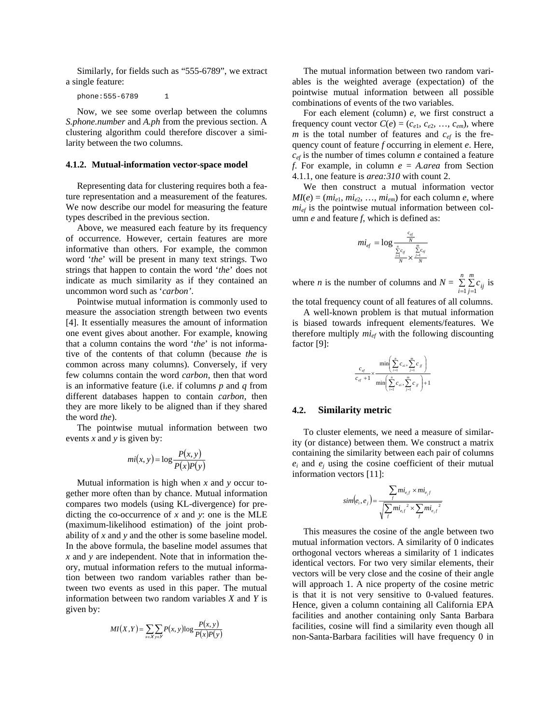Similarly, for fields such as "555-6789", we extract a single feature:

phone: 555-6789 1

Now, we see some overlap between the columns *S.phone.number* and *A.ph* from the previous section. A clustering algorithm could therefore discover a similarity between the two columns.

#### **4.1.2. Mutual-information vector-space model**

Representing data for clustering requires both a feature representation and a measurement of the features. We now describe our model for measuring the feature types described in the previous section.

Above, we measured each feature by its frequency of occurrence. However, certain features are more informative than others. For example, the common word '*the*' will be present in many text strings. Two strings that happen to contain the word '*the*' does not indicate as much similarity as if they contained an uncommon word such as '*carbon'*.

Pointwise mutual information is commonly used to measure the association strength between two events [4]. It essentially measures the amount of information one event gives about another. For example, knowing that a column contains the word '*the*' is not informative of the contents of that column (because *the* is common across many columns). Conversely, if very few columns contain the word *carbon*, then that word is an informative feature (i.e. if columns *p* and *q* from different databases happen to contain *carbon*, then they are more likely to be aligned than if they shared the word *the*).

The pointwise mutual information between two events *x* and *y* is given by:

$$
mi(x, y) = \log \frac{P(x, y)}{P(x)P(y)}
$$

Mutual information is high when *x* and *y* occur together more often than by chance. Mutual information compares two models (using KL-divergence) for predicting the co-occurrence of *x* and *y*: one is the MLE (maximum-likelihood estimation) of the joint probability of *x* and *y* and the other is some baseline model. In the above formula, the baseline model assumes that *x* and *y* are independent. Note that in information theory, mutual information refers to the mutual information between two random variables rather than between two events as used in this paper. The mutual information between two random variables *X* and *Y* is given by:

$$
MI(X,Y) = \sum_{x \in X} \sum_{y \in Y} P(x,y) \log \frac{P(x,y)}{P(x)P(y)}
$$

The mutual information between two random variables is the weighted average (expectation) of the pointwise mutual information between all possible combinations of events of the two variables.

For each element (column) *e*, we first construct a frequency count vector  $C(e) = (c_{e1}, c_{e2}, ..., c_{em})$ , where *m* is the total number of features and  $c_{ef}$  is the frequency count of feature *f* occurring in element *e*. Here, *cef* is the number of times column *e* contained a feature *f*. For example, in column *e* = *A.area* from Section 4.1.1, one feature is *area:310* with count 2.

We then construct a mutual information vector  $MI(e) = (mi_{e1}, mi_{e2}, \ldots, mi_{em})$  for each column *e*, where  $mi_{ef}$  is the pointwise mutual information between column *e* and feature *f*, which is defined as:

$$
mi_{ef} = \log \frac{\frac{c_{ef}}{N}}{\frac{\sum\limits_{i=1}^{n} c_{ij}}{N} \times \frac{\sum\limits_{j=1}^{m} c_{ej}}{N}}
$$

where *n* is the number of columns and  $N = \sum_{i=1}^{n} \sum_{j=1}^{n}$ *n i*  $\sum_{i=1}^{m} c_{ij}$  is

the total frequency count of all features of all columns.

A well-known problem is that mutual information is biased towards infrequent elements/features. We therefore multiply *mief* with the following discounting factor [9]:

$$
\frac{c_{\mathcal{G}}}{c_{\mathcal{G}}+1} \times \frac{\min\left(\sum_{i=1}^{n} c_{\mathcal{G}}, \sum_{j=1}^{m} c_{j} \right)}{\min\left(\sum_{i=1}^{n} c_{\mathcal{G}}, \sum_{j=1}^{m} c_{j} \right)+1}
$$

#### **4.2. Similarity metric**

To cluster elements, we need a measure of similarity (or distance) between them. We construct a matrix containing the similarity between each pair of columns  $e_i$  and  $e_j$  using the cosine coefficient of their mutual information vectors [11]:

$$
sim(e_i, e_j) = \frac{\sum_{f} m i_{e,f} \times m i_{e,f}}{\sqrt{\sum_{f} m i_{e,f}^2 \times \sum_{f} m i_{e,f}^2}}
$$

This measures the cosine of the angle between two mutual information vectors. A similarity of 0 indicates orthogonal vectors whereas a similarity of 1 indicates identical vectors. For two very similar elements, their vectors will be very close and the cosine of their angle will approach 1. A nice property of the cosine metric is that it is not very sensitive to 0-valued features. Hence, given a column containing all California EPA facilities and another containing only Santa Barbara facilities, cosine will find a similarity even though all non-Santa-Barbara facilities will have frequency 0 in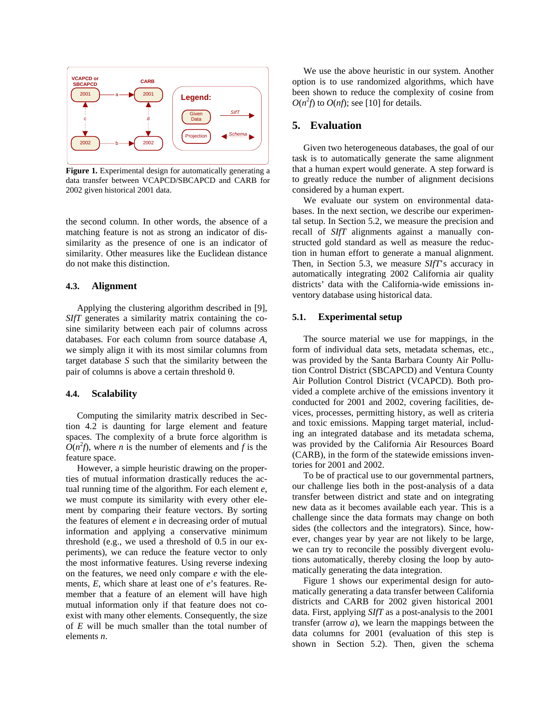

**Figure 1.** Experimental design for automatically generating a data transfer between VCAPCD/SBCAPCD and CARB for 2002 given historical 2001 data.

the second column. In other words, the absence of a matching feature is not as strong an indicator of dissimilarity as the presence of one is an indicator of similarity. Other measures like the Euclidean distance do not make this distinction.

## **4.3. Alignment**

Applying the clustering algorithm described in [9], *SIfT* generates a similarity matrix containing the cosine similarity between each pair of columns across databases. For each column from source database *A*, we simply align it with its most similar columns from target database *S* such that the similarity between the pair of columns is above a certain threshold θ.

#### **4.4. Scalability**

Computing the similarity matrix described in Section 4.2 is daunting for large element and feature spaces. The complexity of a brute force algorithm is  $O(n^2 f)$ , where *n* is the number of elements and *f* is the feature space.

However, a simple heuristic drawing on the properties of mutual information drastically reduces the actual running time of the algorithm. For each element *e*, we must compute its similarity with every other element by comparing their feature vectors. By sorting the features of element *e* in decreasing order of mutual information and applying a conservative minimum threshold (e.g., we used a threshold of 0.5 in our experiments), we can reduce the feature vector to only the most informative features. Using reverse indexing on the features, we need only compare *e* with the elements, *E*, which share at least one of *e*'s features. Remember that a feature of an element will have high mutual information only if that feature does not coexist with many other elements. Consequently, the size of *E* will be much smaller than the total number of elements *n*.

We use the above heuristic in our system. Another option is to use randomized algorithms, which have been shown to reduce the complexity of cosine from  $O(n^2 f)$  to  $O(n f)$ ; see [10] for details.

## **5. Evaluation**

Given two heterogeneous databases, the goal of our task is to automatically generate the same alignment that a human expert would generate. A step forward is to greatly reduce the number of alignment decisions considered by a human expert.

We evaluate our system on environmental databases. In the next section, we describe our experimental setup. In Section 5.2, we measure the precision and recall of *SIfT* alignments against a manually constructed gold standard as well as measure the reduction in human effort to generate a manual alignment. Then, in Section 5.3, we measure *SIfT*'s accuracy in automatically integrating 2002 California air quality districts' data with the California-wide emissions inventory database using historical data.

## **5.1. Experimental setup**

The source material we use for mappings, in the form of individual data sets, metadata schemas, etc., was provided by the Santa Barbara County Air Pollution Control District (SBCAPCD) and Ventura County Air Pollution Control District (VCAPCD). Both provided a complete archive of the emissions inventory it conducted for 2001 and 2002, covering facilities, devices, processes, permitting history, as well as criteria and toxic emissions. Mapping target material, including an integrated database and its metadata schema, was provided by the California Air Resources Board (CARB), in the form of the statewide emissions inventories for 2001 and 2002.

To be of practical use to our governmental partners, our challenge lies both in the post-analysis of a data transfer between district and state and on integrating new data as it becomes available each year. This is a challenge since the data formats may change on both sides (the collectors and the integrators). Since, however, changes year by year are not likely to be large, we can try to reconcile the possibly divergent evolutions automatically, thereby closing the loop by automatically generating the data integration.

Figure 1 shows our experimental design for automatically generating a data transfer between California districts and CARB for 2002 given historical 2001 data. First, applying *SIfT* as a post-analysis to the 2001 transfer (arrow *a*), we learn the mappings between the data columns for 2001 (evaluation of this step is shown in Section 5.2). Then, given the schema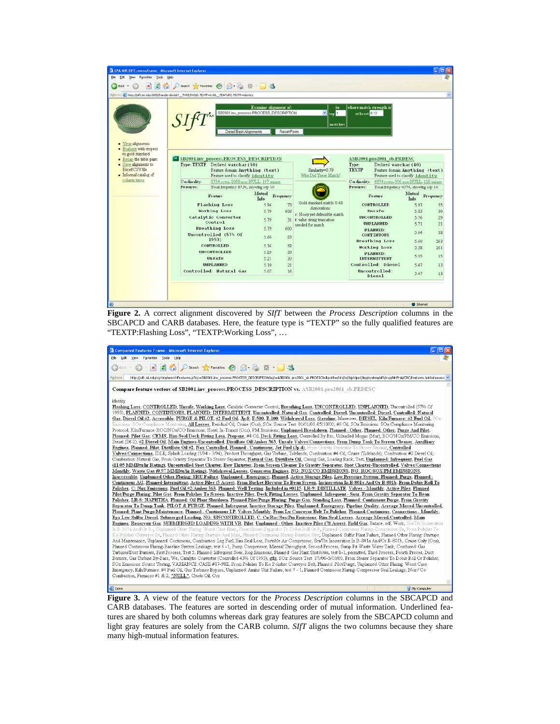| S <sup>1</sup><br>to gold standard                                      | Address @ http://sft.isi.edu:0000/handle-decide? THRESHOLD.TEXTP=0.0b. FEATURE.TEXTP=identity<br>Detail Best Alignments | Examine alignment of:<br>SB2001.inv_process.PROCESS_DESCRIPTION |                  | to<br>$\frac{1}{2}$ top 1                                     | where match strength is<br>at least 0.12                                                                      |                |           |
|-------------------------------------------------------------------------|-------------------------------------------------------------------------------------------------------------------------|-----------------------------------------------------------------|------------------|---------------------------------------------------------------|---------------------------------------------------------------------------------------------------------------|----------------|-----------|
| · View alignments<br>· Evaluate with respect<br>. Recap the table pairs |                                                                                                                         |                                                                 |                  | matches                                                       |                                                                                                               |                |           |
| • Save alignments to<br>Excel/CSV file                                  | SB2001.inv process.PROCESS DESCRIPTION<br>Declared varchar (50)<br>Type: TEXTP<br>Feature domain Anything (text)        |                                                                 | <b>ResetForm</b> | Similarity=0.79                                               | ASB2001.pro2001 sb.PRDESC<br>Type:<br>Declared varchar(40)<br><b>TEXTP</b><br>Feature domain: Anything (text) |                |           |
| - Informal catalog of                                                   | Feature used to classify, identity                                                                                      |                                                                 |                  | Why Did These Match?                                          | Feature used to classify, identity                                                                            |                |           |
| column types                                                            | Cardinality:<br>8754 rows, 2058 non-NULL, 197 unque                                                                     |                                                                 |                  |                                                               | Cardinality:<br>4574 rows, 996 non-NULL, 128 unique                                                           |                |           |
|                                                                         | Features:<br>Total frequency 8754, showing top 10                                                                       |                                                                 |                  |                                                               | Features:<br>Total frequency 4574, showing top 10                                                             |                |           |
|                                                                         | Feature                                                                                                                 | Mutual<br>Info                                                  | Frequency        |                                                               | Feature                                                                                                       | Mutual<br>Info | Frequency |
|                                                                         | <b>Flashing Loss</b>                                                                                                    | 5.96                                                            | 73               | Gold standard match: 0.68                                     | CONTROLLED                                                                                                    | 5.93           | 55        |
|                                                                         | Working Loss                                                                                                            | 5.79                                                            | 608              | Annotations:                                                  | Unsafe                                                                                                        | 5.83           | 30        |
|                                                                         | Catalytic Converter                                                                                                     | 5.79                                                            |                  | c: Noisy yet defensible match<br>31 t value string truncation | <b>UNCONTROLLED</b>                                                                                           | 5.76           | 29        |
|                                                                         | Control                                                                                                                 |                                                                 |                  | needed for match                                              | <b>UNPLANNED</b>                                                                                              | 5.71           | 21        |
|                                                                         | <b>Breathing Loss</b>                                                                                                   | 5.79                                                            | 600              |                                                               | <b>PLANNED:</b>                                                                                               | 5.64           | 18        |
|                                                                         | Uncontrolled (57% Of<br>1993)                                                                                           | 5.66                                                            | 23               |                                                               | <b>CONTINUOUS</b>                                                                                             |                |           |
|                                                                         | <b>CONTROLLED</b>                                                                                                       | 5.36                                                            | 58               |                                                               | <b>Breathing Loss</b>                                                                                         | 5.60           | 263       |
|                                                                         | <b>UNCONTROLLED</b>                                                                                                     | 5.29                                                            | 33               |                                                               | Working Loss                                                                                                  | 5.58           | 261       |
|                                                                         | Unsafe                                                                                                                  | 5.21                                                            | 30               |                                                               | <b>PLANNED:</b><br><b>INTERMITTENT</b>                                                                        | 5.55           | 15        |
|                                                                         | <b>UNPLANNED</b>                                                                                                        | 5.10                                                            | 21               |                                                               | Controlled: Diesel                                                                                            | 5.47           | 13        |
|                                                                         | Controlled: Natural Gas                                                                                                 | 5.07                                                            | 16               |                                                               | Uncontrolled:<br>Diesel                                                                                       | 5.47           | 13        |

**Figure 2.** A correct alignment discovered by *SIfT* between the *Process Description* columns in the SBCAPCD and CARB databases. Here, the feature type is "TEXTP" so the fully qualified features are "TEXTP:Flashing Loss", "TEXTP:Working Loss", …

| <b>2 Compared Features Frame - Microsoft Internet Explorer</b>                                                                                                                                                                                                                                                                                                                                                                                                                                                                                                                                                                                                                                                                                                                                                                                                                                                                                                                                                                                                                                                                                                                                                                                                                                                                                                                                                                                                                                                                                                                                                                                                                                                                                                                                                                                                                                                                                                                                                                                                                                                                                                                                                                                                                                                                                                                                                                                                                                                                                                                                                                                                                                                                                                                                                                                                                                                                                                                                                                                                                                                                                                                                                                                                                                                                                                                                                                                                                                                                                                                                                                                                                                                                                                                                                                                                                                                                                                                                                                                                                                                                                                                                                                                                                                                                                                                                                                                                                                                                                                                                                                                                                                                                                                                                                                                         |  |  |  |  |  |  |
|--------------------------------------------------------------------------------------------------------------------------------------------------------------------------------------------------------------------------------------------------------------------------------------------------------------------------------------------------------------------------------------------------------------------------------------------------------------------------------------------------------------------------------------------------------------------------------------------------------------------------------------------------------------------------------------------------------------------------------------------------------------------------------------------------------------------------------------------------------------------------------------------------------------------------------------------------------------------------------------------------------------------------------------------------------------------------------------------------------------------------------------------------------------------------------------------------------------------------------------------------------------------------------------------------------------------------------------------------------------------------------------------------------------------------------------------------------------------------------------------------------------------------------------------------------------------------------------------------------------------------------------------------------------------------------------------------------------------------------------------------------------------------------------------------------------------------------------------------------------------------------------------------------------------------------------------------------------------------------------------------------------------------------------------------------------------------------------------------------------------------------------------------------------------------------------------------------------------------------------------------------------------------------------------------------------------------------------------------------------------------------------------------------------------------------------------------------------------------------------------------------------------------------------------------------------------------------------------------------------------------------------------------------------------------------------------------------------------------------------------------------------------------------------------------------------------------------------------------------------------------------------------------------------------------------------------------------------------------------------------------------------------------------------------------------------------------------------------------------------------------------------------------------------------------------------------------------------------------------------------------------------------------------------------------------------------------------------------------------------------------------------------------------------------------------------------------------------------------------------------------------------------------------------------------------------------------------------------------------------------------------------------------------------------------------------------------------------------------------------------------------------------------------------------------------------------------------------------------------------------------------------------------------------------------------------------------------------------------------------------------------------------------------------------------------------------------------------------------------------------------------------------------------------------------------------------------------------------------------------------------------------------------------------------------------------------------------------------------------------------------------------------------------------------------------------------------------------------------------------------------------------------------------------------------------------------------------------------------------------------------------------------------------------------------------------------------------------------------------------------------------------------------------------------------------------------------------------------------------|--|--|--|--|--|--|
| Favorites Tools<br>Help<br>File<br>Edit<br>View                                                                                                                                                                                                                                                                                                                                                                                                                                                                                                                                                                                                                                                                                                                                                                                                                                                                                                                                                                                                                                                                                                                                                                                                                                                                                                                                                                                                                                                                                                                                                                                                                                                                                                                                                                                                                                                                                                                                                                                                                                                                                                                                                                                                                                                                                                                                                                                                                                                                                                                                                                                                                                                                                                                                                                                                                                                                                                                                                                                                                                                                                                                                                                                                                                                                                                                                                                                                                                                                                                                                                                                                                                                                                                                                                                                                                                                                                                                                                                                                                                                                                                                                                                                                                                                                                                                                                                                                                                                                                                                                                                                                                                                                                                                                                                                                        |  |  |  |  |  |  |
| ○ Search ☆ Favorites → ○ ○ ○ □ □ 38<br>i zi                                                                                                                                                                                                                                                                                                                                                                                                                                                                                                                                                                                                                                                                                                                                                                                                                                                                                                                                                                                                                                                                                                                                                                                                                                                                                                                                                                                                                                                                                                                                                                                                                                                                                                                                                                                                                                                                                                                                                                                                                                                                                                                                                                                                                                                                                                                                                                                                                                                                                                                                                                                                                                                                                                                                                                                                                                                                                                                                                                                                                                                                                                                                                                                                                                                                                                                                                                                                                                                                                                                                                                                                                                                                                                                                                                                                                                                                                                                                                                                                                                                                                                                                                                                                                                                                                                                                                                                                                                                                                                                                                                                                                                                                                                                                                                                                            |  |  |  |  |  |  |
| Address<br>http://sift.isi.edu/cgi-bin/searchFeatures.pl?q1=5B2001.inv_process.PROCESS_DESCRIPTION8q2=ASB2001.pro2001_sb.PRDESC8dbpath=/nfs/isd3/philpot/lisp/system/sift/exp/NHPHA/CBC/features.hdr8showsco \                                                                                                                                                                                                                                                                                                                                                                                                                                                                                                                                                                                                                                                                                                                                                                                                                                                                                                                                                                                                                                                                                                                                                                                                                                                                                                                                                                                                                                                                                                                                                                                                                                                                                                                                                                                                                                                                                                                                                                                                                                                                                                                                                                                                                                                                                                                                                                                                                                                                                                                                                                                                                                                                                                                                                                                                                                                                                                                                                                                                                                                                                                                                                                                                                                                                                                                                                                                                                                                                                                                                                                                                                                                                                                                                                                                                                                                                                                                                                                                                                                                                                                                                                                                                                                                                                                                                                                                                                                                                                                                                                                                                                                         |  |  |  |  |  |  |
| Compare feature vectors of SB2001.inv process.PROCESS DESCRIPTION vs. ASB2001.pro2001 sb.PRDESC                                                                                                                                                                                                                                                                                                                                                                                                                                                                                                                                                                                                                                                                                                                                                                                                                                                                                                                                                                                                                                                                                                                                                                                                                                                                                                                                                                                                                                                                                                                                                                                                                                                                                                                                                                                                                                                                                                                                                                                                                                                                                                                                                                                                                                                                                                                                                                                                                                                                                                                                                                                                                                                                                                                                                                                                                                                                                                                                                                                                                                                                                                                                                                                                                                                                                                                                                                                                                                                                                                                                                                                                                                                                                                                                                                                                                                                                                                                                                                                                                                                                                                                                                                                                                                                                                                                                                                                                                                                                                                                                                                                                                                                                                                                                                        |  |  |  |  |  |  |
| identity<br>Flashing Loss, CONTROLLED, Unsafe, Working Loss, Catalytic Converter Control, Breathing Loss, UNCONTROLLED, UNPLANNED, Uncontrolled (57% Of<br>1993), PLANNED: CONTINUOUS, PLANNED: INTERMITTENT, Uncontrolled: Natural Gas, Controlled: Diesel, Uncontrolled: Diesel, Controlled: Natural<br>Gas, Diesel Oil #2, Accessible, PURGE & PILOT, #2 Fuel Oil, Jp-8, E-500, E-100, Withdrawal Loss, Gasoline, Maneuver, DIESEL, Kiln/Furnace: #2 Fuel Oil, SOx<br>Emissions: SOx Compliance Monitoring, All Losses, Residual Oil, Cruise (Ocs), SOx: Source Test: 01/01/00-05/10/00, #6 Oil, SOx Emissions: SOx Compliance Monitoring<br>Protocol, Kiln/Furnace: ROC/NOz/CO Emissions, Hotel, In-Transit (Ocs), PM Emissions, Unplanned Breakdown, Planned - Other, Planned: Other, Purge And Pilot,<br>Planned: Pilot Gas, CEMS, Rim Seal/Deck Fitting Loss, Propane, #4 Oil, Deck Fitting Loss, Controlled By Rto, Unleaded Mogas (Mur), ROC/NOx/PM/CO Emissions,<br>Diesel (Df-2), #2 Diesel Oil, Main Engines-Uncontrolled, Distillate Oil/Amber 363, Unsafe Valves/Connections, From Dump Tank To Screen Cleaner, Auxilliary<br>Engines, Planned: Pilot, Distillate Oil #2, Nox Controlled, Planned - Continuous, Jet Fuel (Jp-4), From Gravity Separator To Stoner Separat, Controlled<br>Valves/Connections, IDLE, Splash Loading (1/94 - 3/94), Product Throughput, Gas Turbine, Tidelands, Combustion: #4 Oil, Cruise (Tidelands), Combustion: #2 Diesel Oil,<br>Combustion: Natural Gas, From Gravity Separator To Stoner Separator, Natural Gas, Distillate Oil, Casing Gas, Loading Rack, Test, Unplanned: Infrequent, Fuel Gas<br>(11.05 MMBtu/hr Rating), Uncontrolled Spot Charter, Bow Thruster, From Screen Cleaner To Gravity Separator, Spot Charter-Uncontrolled, Valves/Connections<br>Monthly, Waste Gas (0.97 MMBtu/hr Rating), Withdrawal Losses, Generator Engines, NG: NOX/CO EMISSIONS, NG: ROC/SOX/PM EMISSIONS,<br>Inaccessible, Unplanned Other Flaring: SRU Failure, Unplanned - Emergency, Planned, Active Storage Piles, Low Pressure System: Planned: Purge, Planned -<br>Continuous AG, Planned-Intermittent, Active Piles (5 Acres), From Bucket Elevator To Bean Screen, Incineration In B-801a And/Or B-801b, From Dobie Roll To<br>Polisher, C: Nox Emissions, Fuel Oil #2/Amber 363, Planned: Well Testing, Included in #0115, LR-9: DISTILLATE, Valves - Monthly, Active Piles, Planned<br>Pilot/Purge Flaring: Pilot Gas, From Polisher To Screen, Inactive Piles, Deck Fitting Losses, Unplanned: Infrequent - Sour, From Gravity Separator To Bean<br>Polisher, LR-8: NAPHTHA, Planned: Oil Plant Shutdown, Planned Pilot/Purge Flaring: Purge Gas, Standing Loss, Planned: Continuous Purge, From Gravity<br>Separator To Dump Tank, PILOT & PURGE, Planned: Infrequent, Inactive Storage Piles, Unplanned: Emergency, Pipeline Quality, Acreage Moved-Uncontrolled,<br>Planned: Plant Purge/Maintenance, Planned - Continuous LP, Valves Monthly, From Lw Conveyor Belt To Polisher, Planned-Continuous, Connections - Monthly,<br>Epa Low Sulfur Diesel, Submerged Loading, NG: UNCONTROLLED, C: Co/Roc/Sox/Pm Emissions, Rim Seal Losses, Acreage Moved-Controlled, Main<br>Engines, Reservoir Gas, SUBMERGED LOADING WITH VR, Pilot, Unplanned - Other, Inactive Piles (78 Acres), Field Gas, Butane, sdf, Work, Sru/Trs Incineration<br>In B-801a And/Or B- Unplanned Other Flaring: Worst Case Emer, From Stoner Separator To Dobie Roll Or P. Planned Continuous Flaring-Compressor Se, From Polisher To<br>Ko Polisher Conveyor Be, Planned Other Flaring: Startups And Main, Planned Continuous Flaring-Baseline Syst. Unplanned: Sulfur Plant Failure, Planned Other Flaring: Startups<br>And Maintenance, Unplanned: Continuous, Combustion: Lng Fuel, Rim Seal Loss, Portable Air Compressor, Sru/Trs Incineration In B-801a And/Or B-801b, Cruise Only (Ocs),<br>Planned Continuous Flaring-Baseline System Leakage, test 6 -1, Pump Compressor, Mineral Throughput, Second Process, Sump Pit Waste Water Tank, Combined: Gas<br>Turbines/Duct Burners, First Process, Test 5, Planned: Infrequent Sour, Rog Emissions, Planned: Gas Plant Shutdown, test 8-1, permitted, Third Process, Fourth Proces, Duct<br>Burners, Gas Turbine By-Pass, We, Catalytic Converter (Controlled 43% Of 1993), gffg, SOx: Source Test: 1/1/00-5/10/00, From Stoner Separator To Dobie Roll Or Polisher,<br>SOx Emissions: Source Testing, VARIANCE: CASE #17-98E, From Polisher To Ko Polisher Convevor Belt, Planned: Pilot/Purge, Unplanned Other Flaring: Worst Case<br>Emergency, Kiln/Furnace: #4 Fuel Oil, Gas Turbines Bypass, Unplanned: Amine Unit Failure, test 7 - 1, Planned Continuous Flaring-Compressor Seal Leakage, Nox / Co<br>Combustion, Furnaces #1 & 2, "NULL", Crude Oil, Ocs |  |  |  |  |  |  |
| <b>Done</b><br>My Computer                                                                                                                                                                                                                                                                                                                                                                                                                                                                                                                                                                                                                                                                                                                                                                                                                                                                                                                                                                                                                                                                                                                                                                                                                                                                                                                                                                                                                                                                                                                                                                                                                                                                                                                                                                                                                                                                                                                                                                                                                                                                                                                                                                                                                                                                                                                                                                                                                                                                                                                                                                                                                                                                                                                                                                                                                                                                                                                                                                                                                                                                                                                                                                                                                                                                                                                                                                                                                                                                                                                                                                                                                                                                                                                                                                                                                                                                                                                                                                                                                                                                                                                                                                                                                                                                                                                                                                                                                                                                                                                                                                                                                                                                                                                                                                                                                             |  |  |  |  |  |  |
| $\sim$ $\sim$<br>$\sim$<br>$\sim$                                                                                                                                                                                                                                                                                                                                                                                                                                                                                                                                                                                                                                                                                                                                                                                                                                                                                                                                                                                                                                                                                                                                                                                                                                                                                                                                                                                                                                                                                                                                                                                                                                                                                                                                                                                                                                                                                                                                                                                                                                                                                                                                                                                                                                                                                                                                                                                                                                                                                                                                                                                                                                                                                                                                                                                                                                                                                                                                                                                                                                                                                                                                                                                                                                                                                                                                                                                                                                                                                                                                                                                                                                                                                                                                                                                                                                                                                                                                                                                                                                                                                                                                                                                                                                                                                                                                                                                                                                                                                                                                                                                                                                                                                                                                                                                                                      |  |  |  |  |  |  |

**Figure 3.** A view of the feature vectors for the *Process Description* columns in the SBCAPCD and CARB databases. The features are sorted in descending order of mutual information. Underlined features are shared by both columns whereas dark gray features are solely from the SBCAPCD column and light gray features are solely from the CARB column. *SIfT* aligns the two columns because they share many high-mutual information features.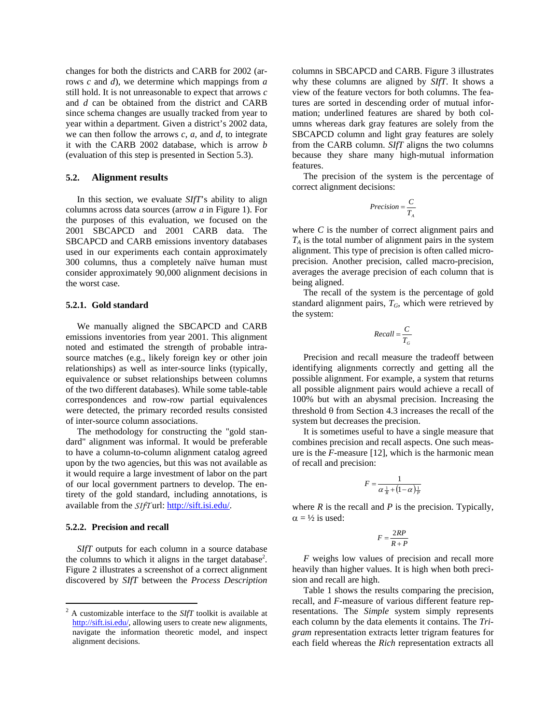changes for both the districts and CARB for 2002 (arrows *c* and *d*), we determine which mappings from *a* still hold. It is not unreasonable to expect that arrows *c* and *d* can be obtained from the district and CARB since schema changes are usually tracked from year to year within a department. Given a district's 2002 data, we can then follow the arrows *c*, *a*, and *d*, to integrate it with the CARB 2002 database, which is arrow *b* (evaluation of this step is presented in Section 5.3).

#### **5.2. Alignment results**

In this section, we evaluate *SIfT*'s ability to align columns across data sources (arrow *a* in Figure 1). For the purposes of this evaluation, we focused on the 2001 SBCAPCD and 2001 CARB data. The SBCAPCD and CARB emissions inventory databases used in our experiments each contain approximately 300 columns, thus a completely naïve human must consider approximately 90,000 alignment decisions in the worst case.

#### **5.2.1. Gold standard**

We manually aligned the SBCAPCD and CARB emissions inventories from year 2001. This alignment noted and estimated the strength of probable intrasource matches (e.g., likely foreign key or other join relationships) as well as inter-source links (typically, equivalence or subset relationships between columns of the two different databases). While some table-table correspondences and row-row partial equivalences were detected, the primary recorded results consisted of inter-source column associations.

The methodology for constructing the "gold standard" alignment was informal. It would be preferable to have a column-to-column alignment catalog agreed upon by the two agencies, but this was not available as it would require a large investment of labor on the part of our local government partners to develop. The entirety of the gold standard, including annotations, is available from the *SIfT* url: http://sift.isi.edu/.

#### **5.2.2. Precision and recall**

 $\overline{a}$ 

*SIfT* outputs for each column in a source database the columns to which it aligns in the target database<sup>2</sup>. Figure 2 illustrates a screenshot of a correct alignment discovered by *SIfT* between the *Process Description*

columns in SBCAPCD and CARB. Figure 3 illustrates why these columns are aligned by *SIfT*. It shows a view of the feature vectors for both columns. The features are sorted in descending order of mutual information; underlined features are shared by both columns whereas dark gray features are solely from the SBCAPCD column and light gray features are solely from the CARB column. *SIfT* aligns the two columns because they share many high-mutual information features.

The precision of the system is the percentage of correct alignment decisions:

$$
Precision = \frac{C}{T_A}
$$

where *C* is the number of correct alignment pairs and  $T_A$  is the total number of alignment pairs in the system alignment. This type of precision is often called microprecision. Another precision, called macro-precision, averages the average precision of each column that is being aligned.

The recall of the system is the percentage of gold standard alignment pairs,  $T_G$ , which were retrieved by the system:

$$
Recall = \frac{C}{T_G}
$$

Precision and recall measure the tradeoff between identifying alignments correctly and getting all the possible alignment. For example, a system that returns all possible alignment pairs would achieve a recall of 100% but with an abysmal precision. Increasing the threshold  $\theta$  from Section 4.3 increases the recall of the system but decreases the precision.

It is sometimes useful to have a single measure that combines precision and recall aspects. One such measure is the *F*-measure [12], which is the harmonic mean of recall and precision:

$$
F = \frac{1}{\alpha \frac{1}{R} + (1 - \alpha) \frac{1}{P}}
$$

where  $R$  is the recall and  $P$  is the precision. Typically,  $\alpha = \frac{1}{2}$  is used:

$$
F = \frac{2RP}{R+P}
$$

*F* weighs low values of precision and recall more heavily than higher values. It is high when both precision and recall are high.

Table 1 shows the results comparing the precision, recall, and *F*-measure of various different feature representations. The *Simple* system simply represents each column by the data elements it contains. The *Trigram* representation extracts letter trigram features for each field whereas the *Rich* representation extracts all

<sup>2</sup> A customizable interface to the *SIfT* toolkit is available at http://sift.isi.edu/, allowing users to create new alignments, navigate the information theoretic model, and inspect alignment decisions.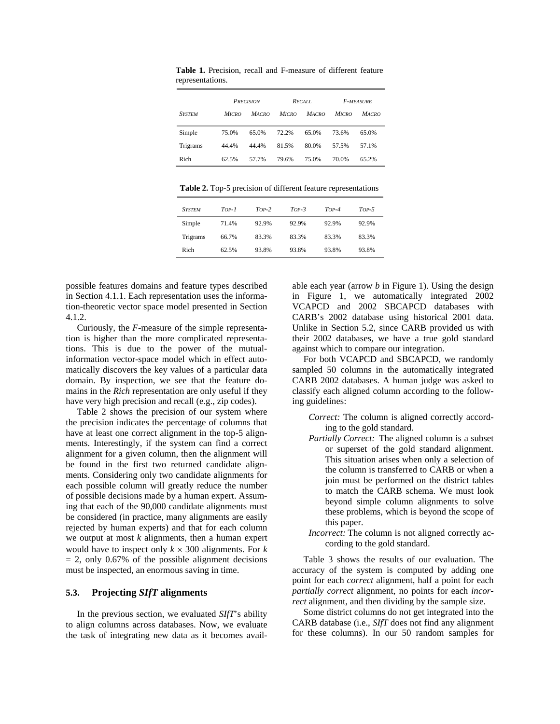|               | <b>PRECISION</b> |              | RECALL.      |              | <b>F-MEASURE</b> |              |  |
|---------------|------------------|--------------|--------------|--------------|------------------|--------------|--|
| <b>SYSTEM</b> | <b>MICRO</b>     | <b>MACRO</b> | <b>MICRO</b> | <b>MACRO</b> | <b>MICRO</b>     | <b>MACRO</b> |  |
| Simple        | 75.0%            | 65.0%        | 72.2%        | 65.0%        | 73.6%            | 65.0%        |  |
| Trigrams      | 44.4%            | 44.4%        | 81.5%        | 80.0%        | 57.5%            | 57.1%        |  |
| Rich          | 62.5%            | 57.7%        | 79.6%        | 75.0%        | 70.0%            | 65.2%        |  |

**Table 1.** Precision, recall and F-measure of different feature representations.

**Table 2.** Top-5 precision of different feature representations

| <b>SYSTEM</b> | $Top-1$ | $Top-2$ | $Top-3$ | $Top-4$ | $Top-5$ |
|---------------|---------|---------|---------|---------|---------|
| Simple        | 71.4%   | 92.9%   | 92.9%   | 92.9%   | 92.9%   |
| Trigrams      | 66.7%   | 83.3%   | 83.3%   | 83.3%   | 83.3%   |
| Rich          | 62.5%   | 93.8%   | 93.8%   | 93.8%   | 93.8%   |

possible features domains and feature types described in Section 4.1.1. Each representation uses the information-theoretic vector space model presented in Section 4.1.2.

Curiously, the *F*-measure of the simple representation is higher than the more complicated representations. This is due to the power of the mutualinformation vector-space model which in effect automatically discovers the key values of a particular data domain. By inspection, we see that the feature domains in the *Rich* representation are only useful if they have very high precision and recall (e.g., zip codes).

Table 2 shows the precision of our system where the precision indicates the percentage of columns that have at least one correct alignment in the top-5 alignments. Interestingly, if the system can find a correct alignment for a given column, then the alignment will be found in the first two returned candidate alignments. Considering only two candidate alignments for each possible column will greatly reduce the number of possible decisions made by a human expert. Assuming that each of the 90,000 candidate alignments must be considered (in practice, many alignments are easily rejected by human experts) and that for each column we output at most *k* alignments, then a human expert would have to inspect only  $k \times 300$  alignments. For  $k$  $= 2$ , only 0.67% of the possible alignment decisions must be inspected, an enormous saving in time.

#### **5.3. Projecting** *SIfT* **alignments**

In the previous section, we evaluated *SIfT*'s ability to align columns across databases. Now, we evaluate the task of integrating new data as it becomes avail-

able each year (arrow *b* in Figure 1). Using the design in Figure 1, we automatically integrated 2002 VCAPCD and 2002 SBCAPCD databases with CARB's 2002 database using historical 2001 data. Unlike in Section 5.2, since CARB provided us with their 2002 databases, we have a true gold standard against which to compare our integration.

For both VCAPCD and SBCAPCD, we randomly sampled 50 columns in the automatically integrated CARB 2002 databases. A human judge was asked to classify each aligned column according to the following guidelines:

- *Correct:* The column is aligned correctly according to the gold standard.
- *Partially Correct:* The aligned column is a subset or superset of the gold standard alignment. This situation arises when only a selection of the column is transferred to CARB or when a join must be performed on the district tables to match the CARB schema. We must look beyond simple column alignments to solve these problems, which is beyond the scope of this paper.
- *Incorrect:* The column is not aligned correctly according to the gold standard.

Table 3 shows the results of our evaluation. The accuracy of the system is computed by adding one point for each *correct* alignment, half a point for each *partially correct* alignment, no points for each *incorrect* alignment, and then dividing by the sample size.

Some district columns do not get integrated into the CARB database (i.e., *SIfT* does not find any alignment for these columns). In our 50 random samples for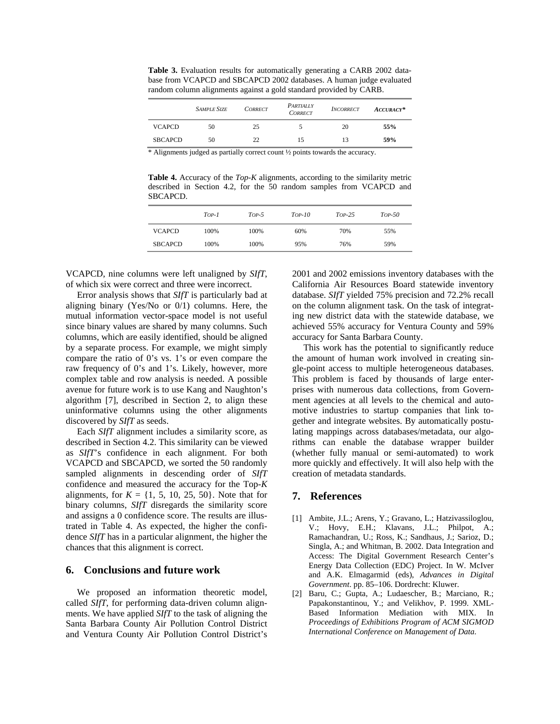**Table 3.** Evaluation results for automatically generating a CARB 2002 database from VCAPCD and SBCAPCD 2002 databases. A human judge evaluated random column alignments against a gold standard provided by CARB.

|                | <b>SAMPLE SIZE</b> | <b>CORRECT</b> | <b>PARTIALLY</b><br>CORRECT | <b>INCORRECT</b> | $ACCURACY*$ |
|----------------|--------------------|----------------|-----------------------------|------------------|-------------|
| <b>VCAPCD</b>  | 50                 | 25             |                             | 20               | 55%         |
| <b>SBCAPCD</b> | 50                 | 22             | 15                          | 13               | 59%         |

\* Alignments judged as partially correct count ½ points towards the accuracy.

**Table 4.** Accuracy of the *Top*-*K* alignments, according to the similarity metric described in Section 4.2, for the 50 random samples from VCAPCD and SBCAPCD.

|                | $Top-1$ | $Top-5$ | $Top-10$ | $Top-25$ | $Top-50$ |
|----------------|---------|---------|----------|----------|----------|
| <b>VCAPCD</b>  | 100%    | 100%    | 60%      | 70%      | 55%      |
| <b>SBCAPCD</b> | 100%    | 100%    | 95%      | 76%      | 59%      |

VCAPCD, nine columns were left unaligned by *SIfT*, of which six were correct and three were incorrect.

Error analysis shows that *SIfT* is particularly bad at aligning binary (Yes/No or 0/1) columns. Here, the mutual information vector-space model is not useful since binary values are shared by many columns. Such columns, which are easily identified, should be aligned by a separate process. For example, we might simply compare the ratio of 0's vs. 1's or even compare the raw frequency of 0's and 1's. Likely, however, more complex table and row analysis is needed. A possible avenue for future work is to use Kang and Naughton's algorithm [7], described in Section 2, to align these uninformative columns using the other alignments discovered by *SIfT* as seeds.

Each *SIfT* alignment includes a similarity score, as described in Section 4.2. This similarity can be viewed as *SIfT*'s confidence in each alignment. For both VCAPCD and SBCAPCD, we sorted the 50 randomly sampled alignments in descending order of *SIfT* confidence and measured the accuracy for the Top-*K* alignments, for  $K = \{1, 5, 10, 25, 50\}$ . Note that for binary columns, *SIfT* disregards the similarity score and assigns a 0 confidence score. The results are illustrated in Table 4. As expected, the higher the confidence *SIfT* has in a particular alignment, the higher the chances that this alignment is correct.

### **6. Conclusions and future work**

We proposed an information theoretic model, called *SIfT*, for performing data-driven column alignments. We have applied *SIfT* to the task of aligning the Santa Barbara County Air Pollution Control District and Ventura County Air Pollution Control District's

2001 and 2002 emissions inventory databases with the California Air Resources Board statewide inventory database. *SIfT* yielded 75% precision and 72.2% recall on the column alignment task. On the task of integrating new district data with the statewide database, we achieved 55% accuracy for Ventura County and 59% accuracy for Santa Barbara County.

This work has the potential to significantly reduce the amount of human work involved in creating single-point access to multiple heterogeneous databases. This problem is faced by thousands of large enterprises with numerous data collections, from Government agencies at all levels to the chemical and automotive industries to startup companies that link together and integrate websites. By automatically postulating mappings across databases/metadata, our algorithms can enable the database wrapper builder (whether fully manual or semi-automated) to work more quickly and effectively. It will also help with the creation of metadata standards.

## **7. References**

- [1] Ambite, J.L.; Arens, Y.; Gravano, L.; Hatzivassiloglou, V.; Hovy, E.H.; Klavans, J.L.; Philpot, A.; Ramachandran, U.; Ross, K.; Sandhaus, J.; Sarioz, D.; Singla, A.; and Whitman, B. 2002. Data Integration and Access: The Digital Government Research Center's Energy Data Collection (EDC) Project. In W. McIver and A.K. Elmagarmid (eds), *Advances in Digital Government*. pp. 85–106. Dordrecht: Kluwer.
- [2] Baru, C.; Gupta, A.; Ludaescher, B.; Marciano, R.; Papakonstantinou, Y.; and Velikhov, P. 1999. XML-Based Information Mediation with MIX. In *Proceedings of Exhibitions Program of ACM SIGMOD International Conference on Management of Data*.